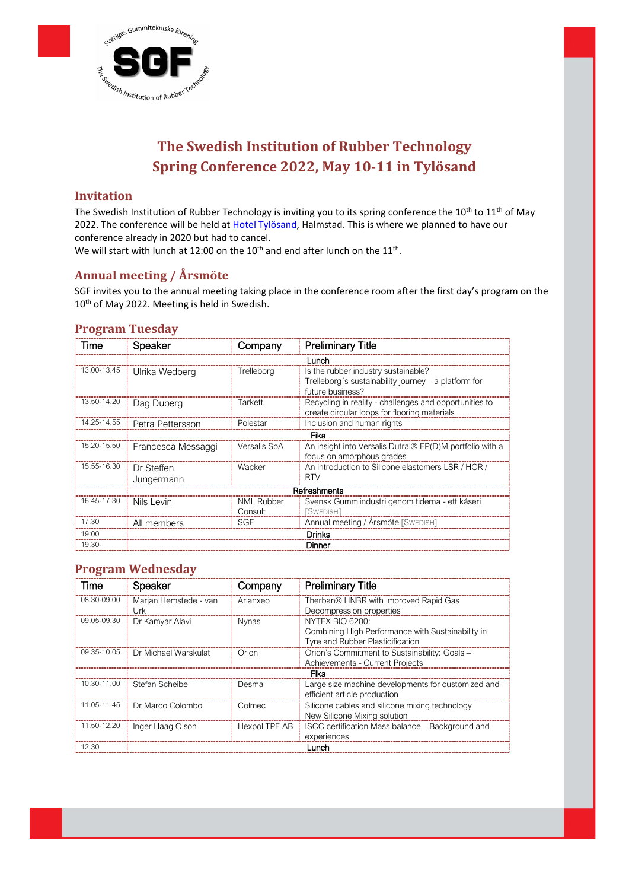

# **The Swedish Institution of Rubber Technology Spring Conference 2022, May 10-11 in Tylösand**

#### **Invitation**

The Swedish Institution of Rubber Technology is inviting you to its spring conference the 10<sup>th</sup> to 11<sup>th</sup> of May 2022. The conference will be held at [Hotel Tylösand,](https://www.tylosand.se/) Halmstad. This is where we planned to have our conference already in 2020 but had to cancel.

We will start with lunch at 12:00 on the  $10^{th}$  and end after lunch on the  $11^{th}$ .

# **Annual meeting / Årsmöte**

SGF invites you to the annual meeting taking place in the conference room after the first day's program on the 10<sup>th</sup> of May 2022. Meeting is held in Swedish.

### **Program Tuesday**

| Time        | Speaker                  | Company                      | <b>Preliminary Title</b>                                                                                        |  |  |
|-------------|--------------------------|------------------------------|-----------------------------------------------------------------------------------------------------------------|--|--|
|             | Lunch                    |                              |                                                                                                                 |  |  |
| 13.00-13.45 | Ulrika Wedberg           | Trelleborg                   | Is the rubber industry sustainable?<br>Trelleborg's sustainability journey – a platform for<br>future business? |  |  |
| 13.50-14.20 | Dag Duberg               | Tarkett                      | Recycling in reality - challenges and opportunities to<br>create circular loops for flooring materials          |  |  |
| 14.25-14.55 | Petra Pettersson         | Polestar                     | Inclusion and human rights                                                                                      |  |  |
|             | Fika                     |                              |                                                                                                                 |  |  |
| 15.20-15.50 | Francesca Messaggi       | Versalis SpA                 | An insight into Versalis Dutral® EP(D)M portfolio with a<br>focus on amorphous grades                           |  |  |
| 15.55-16.30 | Dr Steffen<br>Jungermann | Wacker                       | An introduction to Silicone elastomers LSR / HCR /<br><b>RTV</b>                                                |  |  |
|             | Refreshments             |                              |                                                                                                                 |  |  |
| 16.45-17.30 | Nils Levin               | <b>NML Rubber</b><br>Consult | Svensk Gummiindustri genom tiderna - ett kåseri<br>「Swedish]                                                    |  |  |
| 17.30       | All members              | SGF                          | Annual meeting / Årsmöte [SWEDISH]                                                                              |  |  |
| 19:00       | <b>Drinks</b>            |                              |                                                                                                                 |  |  |
| $19.30 -$   | Dinner                   |                              |                                                                                                                 |  |  |

# **Program Wednesday**

| Time        | Speaker               | Company       | <b>Preliminary Title</b>                           |
|-------------|-----------------------|---------------|----------------------------------------------------|
| 08.30-09.00 | Marian Hemstede - van | Arlanxeo      | Therban® HNBR with improved Rapid Gas              |
|             | Urk                   |               | Decompression properties                           |
| 09.05-09.30 | Dr Kamyar Alavi       | Nynas         | NYTEX BIO 6200:                                    |
|             |                       |               | Combining High Performance with Sustainability in  |
|             |                       |               | Tyre and Rubber Plasticification                   |
| 09.35-10.05 | Dr Michael Warskulat  | Orion         | Orion's Commitment to Sustainability: Goals -      |
|             |                       |               | <b>Achievements - Current Projects</b>             |
|             | Fika                  |               |                                                    |
| 10.30-11.00 | Stefan Scheibe        | Desma         | Large size machine developments for customized and |
|             |                       |               | efficient article production                       |
| 11.05-11.45 | Dr Marco Colombo      | Colmec        | Silicone cables and silicone mixing technology     |
|             |                       |               | New Silicone Mixing solution                       |
| 11.50-12.20 | Inger Haag Olson      | Hexpol TPE AB | ISCC certification Mass balance - Background and   |
|             |                       |               | experiences                                        |
| 12.30       | Lunch                 |               |                                                    |